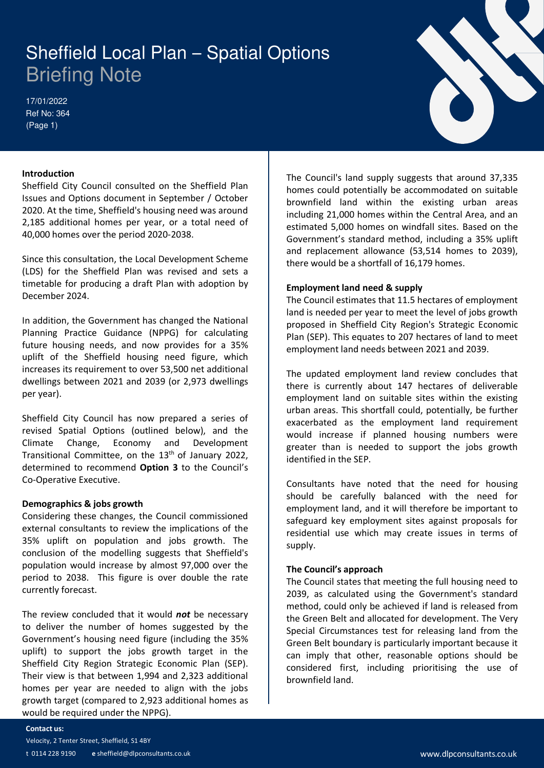# Briefing Note

17/01/2022 Ref No: 364 (Page 1)



#### **Introduction**

Sheffield City Council consulted on the Sheffield Plan Issues and Options document in September / October 2020. At the time, Sheffield's housing need was around 2,185 additional homes per year, or a total need of 40,000 homes over the period 2020-2038.

Since this consultation, the Local Development Scheme (LDS) for the Sheffield Plan was revised and sets a timetable for producing a draft Plan with adoption by December 2024.

In addition, the Government has changed the National Planning Practice Guidance (NPPG) for calculating future housing needs, and now provides for a 35% uplift of the Sheffield housing need figure, which increases its requirement to over 53,500 net additional dwellings between 2021 and 2039 (or 2,973 dwellings per year).

Sheffield City Council has now prepared a series of revised Spatial Options (outlined below), and the Climate Change, Economy and Development Transitional Committee, on the 13<sup>th</sup> of January 2022, determined to recommend **Option 3** to the Council's Co-Operative Executive.

#### **Demographics & jobs growth**

Considering these changes, the Council commissioned external consultants to review the implications of the 35% uplift on population and jobs growth. The conclusion of the modelling suggests that Sheffield's population would increase by almost 97,000 over the period to 2038. This figure is over double the rate currently forecast.

The review concluded that it would *not* be necessary to deliver the number of homes suggested by the Government's housing need figure (including the 35% uplift) to support the jobs growth target in the Sheffield City Region Strategic Economic Plan (SEP). Their view is that between 1,994 and 2,323 additional homes per year are needed to align with the jobs growth target (compared to 2,923 additional homes as would be required under the NPPG). **Sheffield Local Plan – Spatial Options**<br>
Exchange and prioring Note<br>
travelated City Council consulted on the sheffield Plan<br>
Interduction<br>
Interduction<br>
Interductions document in September / October Theorem is not<br>shown

The Council's land supply suggests that around 37,335 homes could potentially be accommodated on suitable brownfield land within the existing urban areas including 21,000 homes within the Central Area, and an estimated 5,000 homes on windfall sites. Based on the Government's standard method, including a 35% uplift and replacement allowance (53,514 homes to 2039), there would be a shortfall of 16,179 homes.

#### **Employment land need & supply**

The Council estimates that 11.5 hectares of employment land is needed per year to meet the level of jobs growth proposed in Sheffield City Region's Strategic Economic Plan (SEP). This equates to 207 hectares of land to meet employment land needs between 2021 and 2039.

The updated employment land review concludes that there is currently about 147 hectares of deliverable employment land on suitable sites within the existing urban areas. This shortfall could, potentially, be further exacerbated as the employment land requirement would increase if planned housing numbers were greater than is needed to support the jobs growth identified in the SEP.

Consultants have noted that the need for housing should be carefully balanced with the need for employment land, and it will therefore be important to safeguard key employment sites against proposals for residential use which may create issues in terms of supply.

#### **The Council's approach**

The Council states that meeting the full housing need to 2039, as calculated using the Government's standard method, could only be achieved if land is released from the Green Belt and allocated for development. The Very Special Circumstances test for releasing land from the Green Belt boundary is particularly important because it can imply that other, reasonable options should be considered first, including prioritising the use of brownfield land.